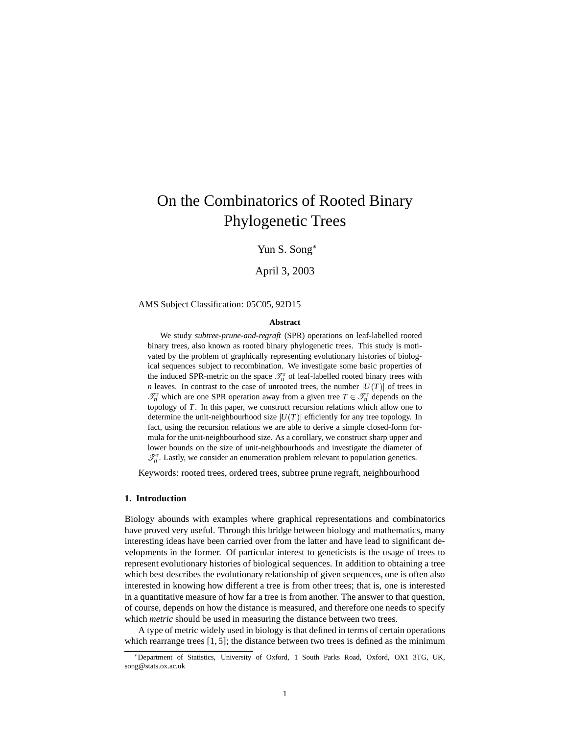# On the Combinatorics of Rooted Binary Phylogenetic Trees

Yun S. Song

April 3, 2003

### AMS Subject Classification: 05C05, 92D15

#### **Abstract**

We study *subtree-prune-and-regraft* (SPR) operations on leaf-labelled rooted binary trees, also known as rooted binary phylogenetic trees. This study is motivated by the problem of graphically representing evolutionary histories of biological sequences subject to recombination. We investigate some basic properties of the induced SPR-metric on the space  $\mathcal{T}_n^r$  of leaf-labelled rooted binary trees with *n* leaves. In contrast to the case of unrooted trees, the number  $|U(T)|$  of trees in  $\mathcal{T}_n^r$  which are one SPR operation away from a given tree  $T \in \mathcal{T}_n^r$  depends on the topology of *T*. In this paper, we construct recursion relations which allow one to determine the unit-neighbourhood size  $|U(T)|$  efficiently for any tree topology. In fact, using the recursion relations we are able to derive a simple closed-form formula for the unit-neighbourhood size. As a corollary, we construct sharp upper and lower bounds on the size of unit-neighbourhoods and investigate the diameter of  $\mathcal{T}_n^r$ . Lastly, we consider an enumeration problem relevant to population genetics.

Keywords: rooted trees, ordered trees, subtree prune regraft, neighbourhood

#### **1. Introduction**

Biology abounds with examples where graphical representations and combinatorics have proved very useful. Through this bridge between biology and mathematics, many interesting ideas have been carried over from the latter and have lead to significant developments in the former. Of particular interest to geneticists is the usage of trees to represent evolutionary histories of biological sequences. In addition to obtaining a tree which best describes the evolutionary relationship of given sequences, one is often also interested in knowing how different a tree is from other trees; that is, one is interested in a quantitative measure of how far a tree is from another. The answer to that question, of course, depends on how the distance is measured, and therefore one needs to specify which *metric* should be used in measuring the distance between two trees.

A type of metric widely used in biology is that defined in terms of certain operations which rearrange trees  $[1, 5]$ ; the distance between two trees is defined as the minimum

<sup>\*</sup>Department of Statistics, University of Oxford, 1 South Parks Road, Oxford, OX1 3TG, UK, song@stats.ox.ac.uk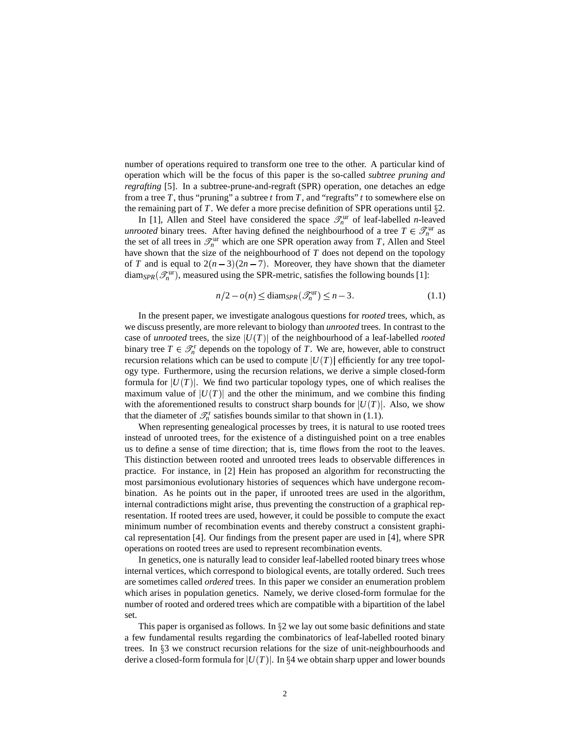number of operations required to transform one tree to the other. A particular kind of operation which will be the focus of this paper is the so-called *subtree pruning and regrafting* [5]. In a subtree-prune-and-regraft (SPR) operation, one detaches an edge from a tree  $T$ , thus "pruning" a subtree  $t$  from  $T$ , and "regrafts"  $t$  to somewhere else on the remaining part of  $T$ . We defer a more precise definition of SPR operations until  $\S$ 2.

In [1], Allen and Steel have considered the space  $\mathcal{I}_n^{\text{ur}}$  of leaf-labelled *n*-leaved *unrooted* binary trees. After having defined the neighbourhood of a tree  $T \in \mathcal{T}_n^{\text{ur}}$  as the set of all trees in  $\mathcal{T}_n^{\text{ur}}$  which are one SPR operation away from *T*, Allen and Steel have shown that the size of the neighbourhood of *T* does not depend on the topology of *T* and is equal to  $2(n-3)(2n-7)$ . Moreover, they have shown that the diameter  $\text{diam}_{SPR}(\mathcal{I}_n^{\text{ur}})$ , measured using the SPR-metric, satisfies the following bounds [1]:

$$
n/2 - o(n) \le \text{diam}_{SPR}(\mathcal{T}_n^{\text{ur}}) \le n - 3. \tag{1.1}
$$

In the present paper, we investigate analogous questions for *rooted* trees, which, as we discuss presently, are more relevant to biology than *unrooted* trees. In contrast to the case of *unrooted* trees, the size  $|U(T)|$  of the neighbourhood of a leaf-labelled *rooted* binary tree  $T \in \mathcal{T}_n^r$  depends on the topology of *T*. We are, however, able to construct recursion relations which can be used to compute  $|U(T)|$  efficiently for any tree topology type. Furthermore, using the recursion relations, we derive a simple closed-form formula for  $|U(T)|$ . We find two particular topology types, one of which realises the maximum value of  $|U(T)|$  and the other the minimum, and we combine this finding with the aforementioned results to construct sharp bounds for  $|U(T)|$ . Also, we show that the diameter of  $\mathcal{T}_n^r$  satisfies bounds similar to that shown in (1.1).

When representing genealogical processes by trees, it is natural to use rooted trees instead of unrooted trees, for the existence of a distinguished point on a tree enables us to define a sense of time direction; that is, time flows from the root to the leaves. This distinction between rooted and unrooted trees leads to observable differences in practice. For instance, in [2] Hein has proposed an algorithm for reconstructing the most parsimonious evolutionary histories of sequences which have undergone recombination. As he points out in the paper, if unrooted trees are used in the algorithm, internal contradictions might arise, thus preventing the construction of a graphical representation. If rooted trees are used, however, it could be possible to compute the exact minimum number of recombination events and thereby construct a consistent graphical representation [4]. Our findings from the present paper are used in [4], where SPR operations on rooted trees are used to represent recombination events.

In genetics, one is naturally lead to consider leaf-labelled rooted binary trees whose internal vertices, which correspond to biological events, are totally ordered. Such trees are sometimes called *ordered* trees. In this paper we consider an enumeration problem which arises in population genetics. Namely, we derive closed-form formulae for the number of rooted and ordered trees which are compatible with a bipartition of the label set.

This paper is organised as follows. In  $\S2$  we lay out some basic definitions and state a few fundamental results regarding the combinatorics of leaf-labelled rooted binary trees. In  $\S$ 3 we construct recursion relations for the size of unit-neighbourhoods and derive a closed-form formula for  $|U(T)|$ . In §4 we obtain sharp upper and lower bounds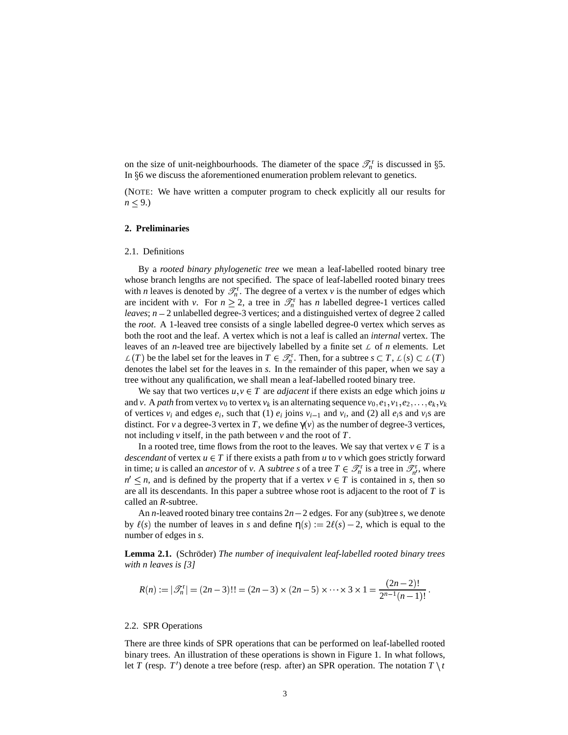on the size of unit-neighbourhoods. The diameter of the space  $\mathcal{T}_n^r$  is discussed in §5. In  $§6$  we discuss the aforementioned enumeration problem relevant to genetics.

(NOTE: We have written a computer program to check explicitly all our results for  $n \leq 9$ .)

#### **2. Preliminaries**

#### 2.1. Definitions

By a *rooted binary phylogenetic tree* we mean a leaf-labelled rooted binary tree whose branch lengths are not specified. The space of leaf-labelled rooted binary trees with *n* leaves is denoted by  $\mathcal{T}_n^r$ . The degree of a vertex *v* is the number of edges which are incident with *v*. For  $n \ge 2$ , a tree in  $\mathcal{T}_n^r$  has *n* labelled degree-1 vertices called *leaves*;  $n - 2$  unlabelled degree-3 vertices; and a distinguished vertex of degree 2 called the *root*. A 1-leaved tree consists of a single labelled degree-0 vertex which serves as both the root and the leaf. A vertex which is not a leaf is called an *internal* vertex. The leaves of an *n*-leaved tree are bijectively labelled by a finite set *L* of *n* elements. Let  $L(T)$  be the label set for the leaves in  $T \in \mathcal{T}_n^r$ . Then, for a subtree  $s \subset T$ ,  $L(s) \subset L(T)$ denotes the label set for the leaves in *s*. In the remainder of this paper, when we say a tree without any qualification, we shall mean a leaf-labelled rooted binary tree.

We say that two vertices  $u, v \in T$  are *adjacent* if there exists an edge which joins *u* and *v*. A *path* from vertex  $v_0$  to vertex  $v_k$  is an alternating sequence  $v_0, e_1, v_1, e_2, \ldots, e_k, v_k$ of vertices  $v_i$  and edges  $e_i$ , such that (1)  $e_i$  joins  $v_{i-1}$  and  $v_i$ , and (2) all  $e_i$ s and  $v_i$ s are distinct. For *v* a degree-3 vertex in *T*, we define  $\gamma(v)$  as the number of degree-3 vertices, not including *v* itself, in the path between *v* and the root of *T*.

In a rooted tree, time flows from the root to the leaves. We say that vertex  $v \in T$  is a *descendant* of vertex  $u \in T$  if there exists a path from  $u$  to  $v$  which goes strictly forward in time; *u* is called an *ancestor* of *v*. A *subtree s* of a tree  $T \in \mathcal{T}_n^r$  is a tree in  $\mathcal{T}_n^r$ , where  $n' \leq n$ , and is defined by the property that if a vertex  $v \in T$  is contained in *s*, then so are all its descendants. In this paper a subtree whose root is adjacent to the root of *T* is called an *R*-subtree.

An *n*-leaved rooted binary tree contains  $2n - 2$  edges. For any (sub)tree *s*, we denote by  $\ell(s)$  the number of leaves in *s* and define  $\eta(s) := 2\ell(s) - 2$ , which is equal to the number of edges in *s*.

**Lemma 2.1.** (Schröder) The *number* of *inequivalent* leaf-labelled rooted binary trees *with n leaves is [3]*

$$
R(n) := |\mathscr{T}_n^r| = (2n-3)!! = (2n-3) \times (2n-5) \times \cdots \times 3 \times 1 = \frac{(2n-2)!}{2^{n-1}(n-1)!}.
$$

#### 2.2. SPR Operations

There are three kinds of SPR operations that can be performed on leaf-labelled rooted binary trees. An illustration of these operations is shown in Figure 1. In what follows, let *T* (resp. *T*<sup>'</sup>) denote a tree before (resp. after) an SPR operation. The notation  $T \setminus t$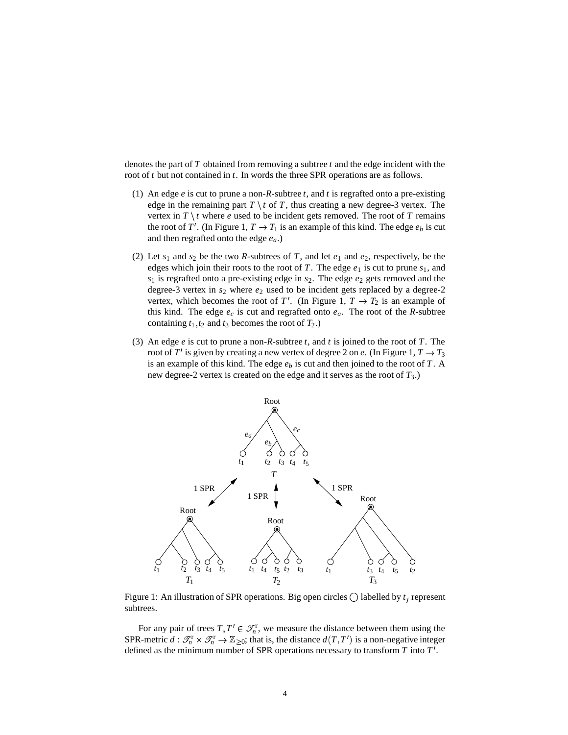denotes the part of *T* obtained from removing a subtree *t* and the edge incident with the root of *t* but not contained in *t*. In words the three SPR operations are as follows.

- (1) An edge *e* is cut to prune a non-*R*-subtree *t*, and *t* is regrafted onto a pre-existing edge in the remaining part  $T \setminus t$  of  $T$ , thus creating a new degree-3 vertex. The vertex in  $T \setminus t$  where *e* used to be incident gets removed. The root of  $T$  remains the root of *T'*. (In Figure 1,  $T \rightarrow T_1$  is an example of this kind. The edge  $e_b$  is cut and then regrafted onto the edge *ea*.)
- (2) Let  $s_1$  and  $s_2$  be the two *R*-subtrees of *T*, and let  $e_1$  and  $e_2$ , respectively, be the edges which join their roots to the root of *T*. The edge  $e_1$  is cut to prune  $s_1$ , and *s*<sup>1</sup> is regrafted onto a pre-existing edge in *s*2. The edge *e*<sup>2</sup> gets removed and the degree-3 vertex in *s*<sup>2</sup> where *e*<sup>2</sup> used to be incident gets replaced by a degree-2 vertex, which becomes the root of  $T'$ . (In Figure 1,  $T \to T_2$  is an example of this kind. The edge  $e_c$  is cut and regrafted onto  $e_a$ . The root of the *R*-subtree containing  $t_1, t_2$  and  $t_3$  becomes the root of  $T_2$ .)
- (3) An edge *e* is cut to prune a non-*R*-subtree *t*, and *t* is joined to the root of *T*. The root of T' is given by creating a new vertex of degree 2 on *e*. (In Figure 1,  $T \rightarrow T_3$ ) is an example of this kind. The edge *e<sup>b</sup>* is cut and then joined to the root of *T*. A new degree-2 vertex is created on the edge and it serves as the root of  $T_3$ .)



Figure 1: An illustration of SPR operations. Big open circles  $\bigcirc$  labelled by  $t_j$  represent subtrees.

For any pair of trees  $T, T' \in \mathcal{T}_n^r$ , we measure the distance between them using the SPR-metric  $d: \mathcal{T}_n^r \times \mathcal{T}_n^r \to \mathbb{Z}_{\geq 0}$ ; that is, the distance  $d(T, T')$  is a non-negative integer defined as the minimum number of SPR operations necessary to transform *T* into *T* .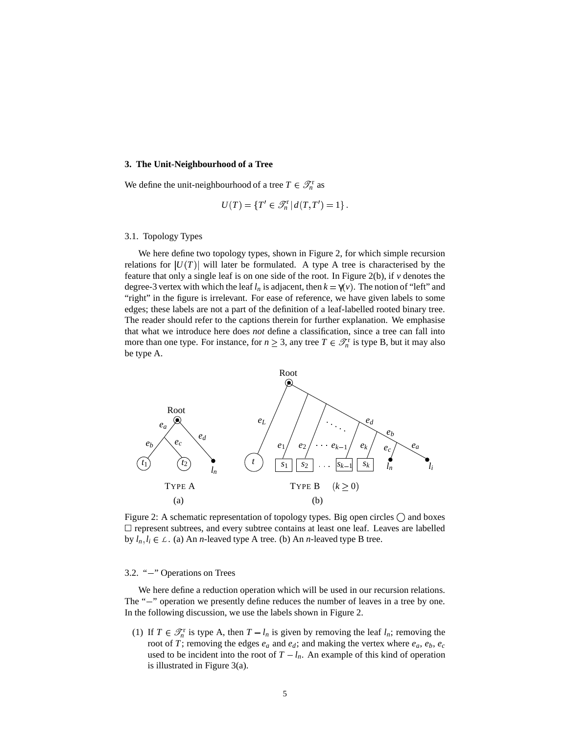#### **3. The Unit-Neighbourhood of a Tree**

We define the unit-neighbourhood of a tree  $T \in \mathcal{T}_n^r$  as

$$
U(T) = \{T' \in \mathcal{T}_n^r \, | \, d(T,T') = 1\}.
$$

#### 3.1. Topology Types

We here define two topology types, shown in Figure 2, for which simple recursion relations for  $|U(T)|$  will later be formulated. A type A tree is characterised by the feature that only a single leaf is on one side of the root. In Figure 2(b), if *v* denotes the degree-3 vertex with which the leaf  $l_n$  is adjacent, then  $k = \gamma(v)$ . The notion of "left" and "right" in the figure is irrelevant. For ease of reference, we have given labels to some edges; these labels are not a part of the definition of a leaf-labelled rooted binary tree. The reader should refer to the captions therein for further explanation. We emphasise that what we introduce here does *not* define a classification, since a tree can fall into more than one type. For instance, for  $n \geq 3$ , any tree  $T \in \mathcal{T}_n^r$  is type B, but it may also be type A.



Figure 2: A schematic representation of topology types. Big open circles  $\bigcirc$  and boxes represent subtrees, and every subtree contains at least one leaf. Leaves are labelled by  $l_n, l_i \in \mathcal{L}$ . (a) An *n*-leaved type A tree. (b) An *n*-leaved type B tree.

## 3.2. " $-$ " Operations on Trees

We here define a reduction operation which will be used in our recursion relations. The "-" operation we presently define reduces the number of leaves in a tree by one. In the following discussion, we use the labels shown in Figure 2.

(1) If  $T \in \mathcal{T}_n^r$  is type A, then  $T - l_n$  is given by removing the leaf  $l_n$ ; removing the root of *T*; removing the edges  $e_a$  and  $e_d$ ; and making the vertex where  $e_a$ ,  $e_b$ ,  $e_c$ used to be incident into the root of  $T - l_n$ . An example of this kind of operation is illustrated in Figure 3(a).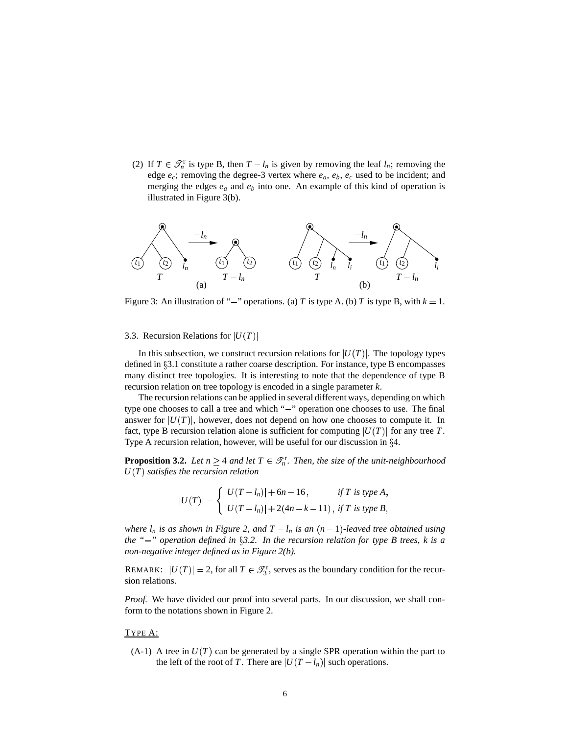(2) If  $T \in \mathcal{T}_n^r$  is type B, then  $T - l_n$  is given by removing the leaf  $l_n$ ; removing the edge *ec*; removing the degree-3 vertex where *ea*, *eb*, *e<sup>c</sup>* used to be incident; and merging the edges *e<sup>a</sup>* and *e<sup>b</sup>* into one. An example of this kind of operation is illustrated in Figure 3(b).



Figure 3: An illustration of "-" operations. (a) *T* is type A. (b) *T* is type B, with  $k = 1$ .

#### 3.3. Recursion Relations for  $|U(T)|$

In this subsection, we construct recursion relations for  $|U(T)|$ . The topology types defined in  $\S 3.1$  constitute a rather coarse description. For instance, type B encompasses many distinct tree topologies. It is interesting to note that the dependence of type B recursion relation on tree topology is encoded in a single parameter *k*.

The recursion relations can be applied in several different ways, depending on which type one chooses to call a tree and which "-" operation one chooses to use. The final answer for  $|U(T)|$ , however, does not depend on how one chooses to compute it. In fact, type B recursion relation alone is sufficient for computing  $|U(T)|$  for any tree T. Type A recursion relation, however, will be useful for our discussion in  $\S 4$ .

**Proposition 3.2.** *Let*  $n \geq 4$  *and let*  $T \in \mathcal{T}_n^r$ *. Then, the size of the unit-neighbourhood*  $U(T)$  *satisfies the recursion relation* 

$$
|U(T)| = \begin{cases} |U(T - l_n)| + 6n - 16, & \text{if } T \text{ is type } A, \\ |U(T - l_n)| + 2(4n - k - 11), & \text{if } T \text{ is type } B, \end{cases}
$$

*where*  $l_n$  *is as shown in Figure 2, and*  $T - l_n$  *is an*  $(n - 1)$ -leaved *tree obtained using the "" operation defined in 3.2. In the recursion relation for type B trees, k is a non-negative integer defined as in Figure 2(b).*

REMARK:  $|U(T)| = 2$ , for all  $T \in \mathcal{T}_3^r$ , serves as the boundary condition for the recursion relations.

*Proof.* We have divided our proof into several parts. In our discussion, we shall conform to the notations shown in Figure 2.

#### TYPE A:

 $(A-1)$  A tree in  $U(T)$  can be generated by a single SPR operation within the part to the left of the root of *T*. There are  $|U(T - I_n)|$  such operations.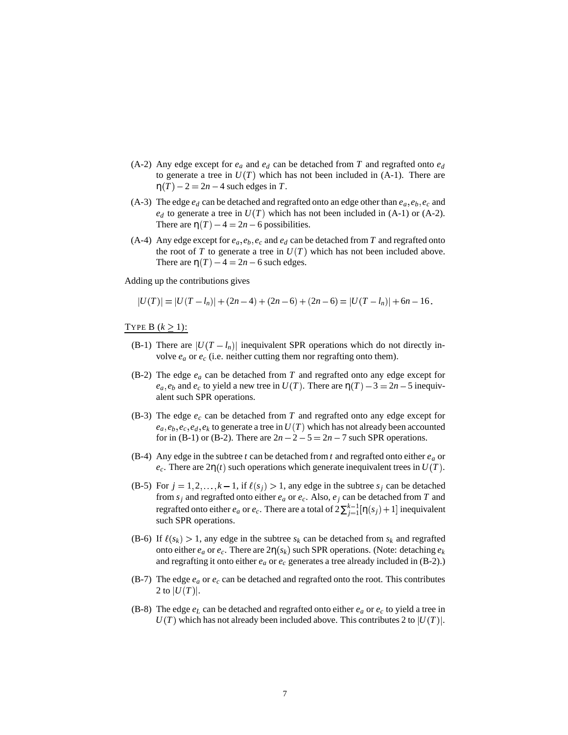- (A-2) Any edge except for  $e_a$  and  $e_d$  can be detached from *T* and regrafted onto  $e_d$ to generate a tree in  $U(T)$  which has not been included in  $(A-1)$ . There are  $\eta(T) - 2 = 2n - 4$  such edges in *T*.
- (A-3) The edge  $e_d$  can be detached and regrafted onto an edge other than  $e_a$ ,  $e_b$ ,  $e_c$  and  $e_d$  to generate a tree in  $U(T)$  which has not been included in (A-1) or (A-2). There are  $\eta(T) - 4 = 2n - 6$  possibilities.
- (A-4) Any edge except for  $e_a$ ,  $e_b$ ,  $e_c$  and  $e_d$  can be detached from *T* and regrafted onto the root of *T* to generate a tree in  $U(T)$  which has not been included above. There are  $\eta(T) - 4 = 2n - 6$  such edges.

Adding up the contributions gives

$$
|U(T)| = |U(T - l_n)| + (2n - 4) + (2n - 6) + (2n - 6) = |U(T - l_n)| + 6n - 16.
$$

TYPE B  $(k \geq 1)$ :

- (B-1) There are  $|U(T I_n)|$  inequivalent SPR operations which do not directly involve  $e_a$  or  $e_c$  (i.e. neither cutting them nor regrafting onto them).
- (B-2) The edge *e<sup>a</sup>* can be detached from *T* and regrafted onto any edge except for  $e_a$ ,  $e_b$  and  $e_c$  to yield a new tree in  $U(T)$ . There are  $\eta(T) - 3 = 2n - 5$  inequivalent such SPR operations.
- (B-3) The edge *e<sup>c</sup>* can be detached from *T* and regrafted onto any edge except for  $e_a, e_b, e_c, e_d, e_k$  to generate a tree in  $U(T)$  which has not already been accounted for in (B-1) or (B-2). There are  $2n - 2 - 5 = 2n - 7$  such SPR operations.
- (B-4) Any edge in the subtree *t* can be detached from *t* and regrafted onto either *e<sup>a</sup>* or  $e_c$ . There are  $2\eta(t)$  such operations which generate inequivalent trees in  $U(T)$ .
- $(B-5)$  For  $j = 1, 2, ..., k-1$ , if  $\ell(s_j) > 1$ , any edge in the subtree  $s_j$  can be detached from  $s_j$  and regrafted onto either  $e_a$  or  $e_c$ . Also,  $e_j$  can be detached from  $T$  and regrafted onto either  $e_a$  or  $e_c$ . There are a total of  $2\sum_{j=1}^{k-1} [\eta(s_j) + 1]$  inequivalent such SPR operations.
- (B-6) If  $\ell(s_k) > 1$ , any edge in the subtree  $s_k$  can be detached from  $s_k$  and regrafted onto either  $e_a$  or  $e_c$ . There are  $2\eta(s_k)$  such SPR operations. (Note: detaching  $e_k$ and regrafting it onto either *e<sup>a</sup>* or *e<sup>c</sup>* generates a tree already included in (B-2).)
- (B-7) The edge  $e_a$  or  $e_c$  can be detached and regrafted onto the root. This contributes 2 to  $|U(T)|$ .
- (B-8) The edge  $e_L$  can be detached and regrafted onto either  $e_a$  or  $e_c$  to yield a tree in  $U(T)$  which has not already been included above. This contributes 2 to  $|U(T)|$ .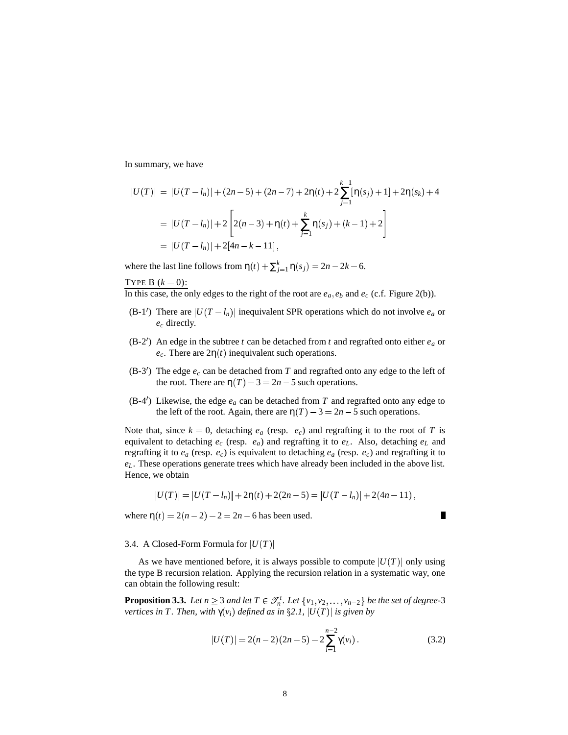In summary, we have

$$
|U(T)| = |U(T - l_n)| + (2n - 5) + (2n - 7) + 2\eta(t) + 2\sum_{j=1}^{k-1} [\eta(s_j) + 1] + 2\eta(s_k) + 4
$$
  
= |U(T - l\_n)| + 2\left[2(n - 3) + \eta(t) + \sum\_{j=1}^{k} \eta(s\_j) + (k - 1) + 2\right]  
= |U(T - l\_n)| + 2[4n - k - 11],

where the last line follows from  $\eta(t) + \sum_{j=1}^{k} \eta(s_j) = 2n - 2k - 6$ .

TYPE B  $(k = 0)$ :

In this case, the only edges to the right of the root are  $e_a$ ,  $e_b$  and  $e_c$  (c.f. Figure 2(b)).

- (B-1') There are  $|U(T I_n)|$  inequivalent SPR operations which do not involve  $e_a$  or *e<sup>c</sup>* directly.
- (B-2<sup>'</sup>) An edge in the subtree *t* can be detached from *t* and regrafted onto either  $e_a$  or  $e_c$ . There are  $2\eta(t)$  inequivalent such operations.
- (B-3<sup>'</sup>) The edge  $e_c$  can be detached from T and regrafted onto any edge to the left of the root. There are  $\eta(T) - 3 = 2n - 5$  such operations.
- (B-4<sup> $\prime$ </sup>) Likewise, the edge  $e_a$  can be detached from *T* and regrafted onto any edge to the left of the root. Again, there are  $\eta(T) - 3 = 2n - 5$  such operations.

Note that, since  $k = 0$ , detaching  $e_a$  (resp.  $e_c$ ) and regrafting it to the root of *T* is equivalent to detaching *e<sup>c</sup>* (resp. *ea*) and regrafting it to *eL*. Also, detaching *e<sup>L</sup>* and regrafting it to *e<sup>a</sup>* (resp. *ec*) is equivalent to detaching *e<sup>a</sup>* (resp. *ec*) and regrafting it to *eL*. These operations generate trees which have already been included in the above list. Hence, we obtain

$$
|U(T)| = |U(T - l_n)| + 2\eta(t) + 2(2n - 5) = |U(T - l_n)| + 2(4n - 11),
$$

where  $\eta(t) = 2(n-2) - 2 = 2n - 6$  has been used.

#### 3.4. A Closed-Form Formula for  $|U(T)|$

As we have mentioned before, it is always possible to compute  $|U(T)|$  only using the type B recursion relation. Applying the recursion relation in a systematic way, one can obtain the following result:

**Proposition 3.3.** Let  $n \geq 3$  and let  $T \in \mathcal{T}_n^r$ . Let  $\{v_1, v_2, \ldots, v_{n-2}\}$  be the set of degree-3 *vertices in T*. *Then, with*  $\gamma(v_i)$  *defined as in*  $\S 2.1$ *,*  $|U(T)|$  *is given by* 

$$
|U(T)| = 2(n-2)(2n-5) - 2\sum_{i=1}^{n-2} \gamma(v_i).
$$
 (3.2)

 $\blacksquare$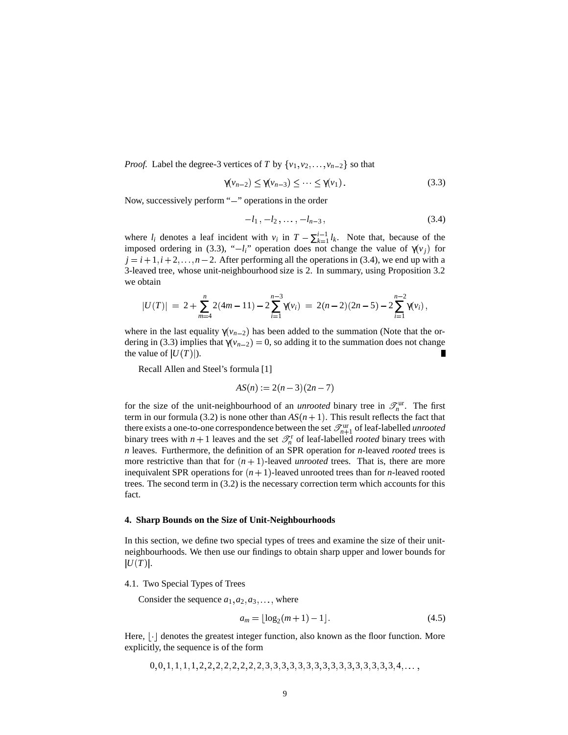*Proof.* Label the degree-3 vertices of *T* by  $\{v_1, v_2, \ldots, v_{n-2}\}$  so that

$$
\gamma(v_{n-2}) \le \gamma(v_{n-3}) \le \cdots \le \gamma(v_1). \tag{3.3}
$$

Now, successively perform "-" operations in the order

$$
-l_1, -l_2, \ldots, -l_{n-3}, \qquad (3.4)
$$

where  $l_i$  denotes a leaf incident with  $v_i$  in  $T - \sum_{k=1}^{i-1} l_k$ . Note that, because of the imposed ordering in (3.3), " $-l_i$ " operation does not change the value of  $\gamma(v_j)$  for  $j = i + 1, i + 2, \ldots, n - 2$ . After performing all the operations in (3.4), we end up with a 3-leaved tree, whose unit-neighbourhood size is 2. In summary, using Proposition 3.2 we obtain

$$
|U(T)| = 2 + \sum_{m=4}^{n} 2(4m - 11) - 2\sum_{i=1}^{n-3} \gamma(v_i) = 2(n-2)(2n-5) - 2\sum_{i=1}^{n-2} \gamma(v_i),
$$

where in the last equality  $\gamma(v_{n-2})$  has been added to the summation (Note that the ordering in (3.3) implies that  $\gamma(v_{n-2}) = 0$ , so adding it to the summation does not change the value of  $|U(T)|$ . П

Recall Allen and Steel's formula [1]

$$
AS(n) := 2(n-3)(2n-7)
$$

for the size of the unit-neighbourhood of an *unrooted* binary tree in  $\mathcal{I}_n^{\text{ur}}$ . The first term in our formula (3.2) is none other than  $AS(n+1)$ . This result reflects the fact that there exists a one-to-one correspondence between the set  $\mathscr{T}^{\text{ur}}_{n+1}$  of leaf-labelled *unrooted* binary trees with  $n + 1$  leaves and the set  $\mathcal{T}_n^r$  of leaf-labelled *rooted* binary trees with *n* leaves. Furthermore, the definition of an SPR operation for *n*-leaved *rooted* trees is more restrictive than that for  $(n + 1)$ -leaved *unrooted* trees. That is, there are more inequivalent SPR operations for  $(n + 1)$ -leaved unrooted trees than for *n*-leaved rooted trees. The second term in (3.2) is the necessary correction term which accounts for this fact.

#### **4. Sharp Bounds on the Size of Unit-Neighbourhoods**

In this section, we define two special types of trees and examine the size of their unitneighbourhoods. We then use our findings to obtain sharp upper and lower bounds for  $|U(T)|$ .

#### 4.1. Two Special Types of Trees

Consider the sequence  $a_1, a_2, a_3, \ldots$ , where

$$
a_m = \lfloor \log_2(m+1) - 1 \rfloor. \tag{4.5}
$$

Here, | | denotes the greatest integer function, also known as the floor function. More explicitly, the sequence is of the form

0 0 1 1 1 1 2 2 2 2 2 2 2 2 3 3 3 3 3 3 3 3 3 3 3 3 3 3 3 3 4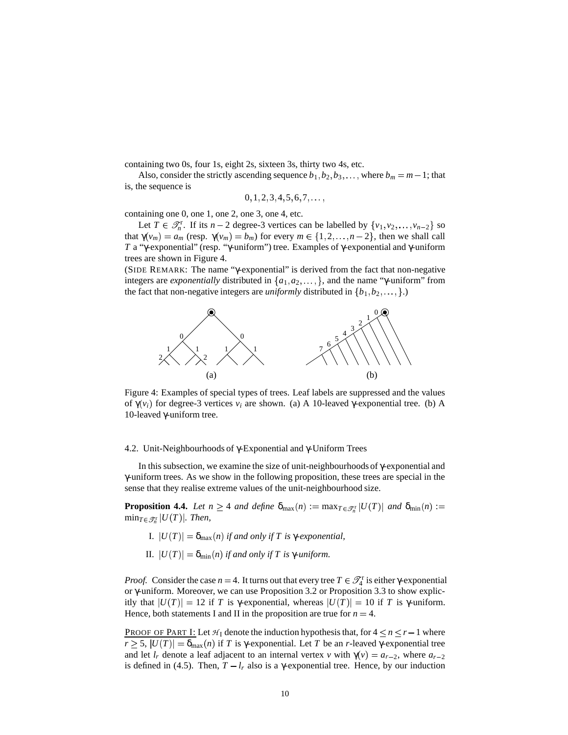containing two 0s, four 1s, eight 2s, sixteen 3s, thirty two 4s, etc.

Also, consider the strictly ascending sequence  $b_1, b_2, b_3, \ldots$ , where  $b_m = m - 1$ ; that is, the sequence is

 $0, 1, 2, 3, 4, 5, 6, 7, \ldots$ 

containing one 0, one 1, one 2, one 3, one 4, etc.

Let  $T \in \mathcal{T}_n^r$ . If its  $n-2$  degree-3 vertices can be labelled by  $\{v_1, v_2, \dots, v_{n-2}\}$  so that  $\gamma(v_m) = a_m$  (resp.  $\gamma(v_m) = b_m$ ) for every  $m \in \{1, 2, ..., n-2\}$ , then we shall call *T* a "γ-exponential" (resp. "γ-uniform") tree. Examples of γ-exponential and γ-uniform trees are shown in Figure 4.

(SIDE REMARK: The name "γ-exponential" is derived from the fact that non-negative integers are *exponentially* distributed in  $\{a_1, a_2, \ldots\}$ , and the name "γ-uniform" from the fact that non-negative integers are *uniformly* distributed in  $\{b_1, b_2, \ldots, \}$ .



Figure 4: Examples of special types of trees. Leaf labels are suppressed and the values of  $γ(v_i)$  for degree-3 vertices  $v_i$  are shown. (a) A 10-leaved γ-exponential tree. (b) A 10-leaved γ-uniform tree.

#### 4.2. Unit-Neighbourhoods of γ-Exponential and γ-Uniform Trees

In this subsection, we examine the size of unit-neighbourhoods of γ-exponential and γ-uniform trees. As we show in the following proposition, these trees are special in the sense that they realise extreme values of the unit-neighbourhood size.

**Proposition 4.4.** Let  $n \geq 4$  and define  $\delta_{\max}(n) := \max_{T \in \mathscr{T}_n^{\text{r}}} |U(T)|$  and  $\delta_{\min}(n) :=$  $\min_{T \in \mathscr{T}_n^{\text{r}}} |U(T)|$ *. Then,* 

- I.  $|U(T)| = δ_{\text{max}}(n)$  *if and only if T is* γ-*exponential*,
- $|U(T)| = \delta_{\min}(n)$  *if and only if T is*  $\gamma$ *-uniform.*

*Proof.* Consider the case  $n = 4$ . It turns out that every tree  $T \in \mathcal{T}_4^r$  is either γ-exponential or γ-uniform. Moreover, we can use Proposition 3.2 or Proposition 3.3 to show explicitly that  $|U(T)| = 12$  if *T* is γ-exponential, whereas  $|U(T)| = 10$  if *T* is γ-uniform. Hence, both statements I and II in the proposition are true for  $n = 4$ .

PROOF OF PART I: Let  $H_1$  denote the induction hypothesis that, for  $4 \le n \le r-1$  where  $r \geq 5$ ,  $|U(T)| = \delta_{\text{max}}(n)$  if *T* is γ-exponential. Let *T* be an *r*-leaved γ-exponential tree and let  $l_r$  denote a leaf adjacent to an internal vertex  $v$  with  $\gamma(v) = a_{r-2}$ , where  $a_{r-2}$ is defined in (4.5). Then,  $T - l_r$  also is a  $\gamma$ -exponential tree. Hence, by our induction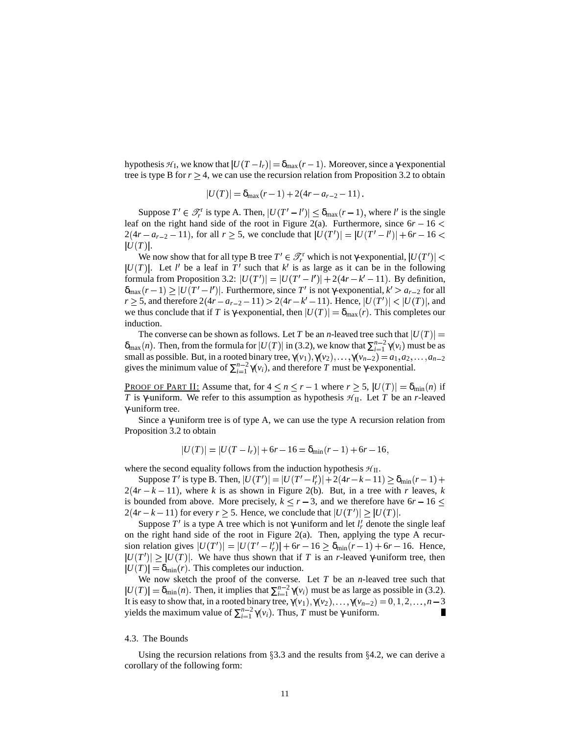hypothesis  $H_I$ , we know that  $|U(T - I_r)| = \delta_{\max}(r - 1)$ . Moreover, since a  $\gamma$ -exponential tree is type B for  $r \geq 4$ , we can use the recursion relation from Proposition 3.2 to obtain

$$
|U(T)| = \delta_{\max}(r-1) + 2(4r - a_{r-2} - 11).
$$

Suppose  $T' \in \mathcal{T}_r^r$  is type A. Then,  $|U(T'-l')| \leq \delta_{\max}(r-1)$ , where *l'* is the single leaf on the right hand side of the root in Figure 2(a). Furthermore, since  $6r - 16 <$  $2(4r - a_{r-2} - 11)$ , for all  $r \ge 5$ , we conclude that  $|U(T')| = |U(T' - l')| + 6r - 16 <$  $|U(T)|$ .

We now show that for all type B tree  $T' \in \mathscr{T}_r^r$  which is not γ-exponential,  $|U(T')| <$  $|U(T)|$ . Let *l'* be a leaf in T' such that *k'* is as large as it can be in the following formula from Proposition 3.2:  $|U(T')| = |U(T'-l')| + 2(4r - k' - 11)$ . By definition,  $\delta_{\max}(r-1) \ge |U(T'-l')|$ . Furthermore, since  $T'$  is not  $\gamma$ -exponential,  $k' > a_{r-2}$  for all  $r \ge 5$ , and therefore  $2(4r - a_{r-2} - 11) > 2(4r - k' - 11)$ . Hence,  $|U(T')| < |U(T)|$ , and we thus conclude that if *T* is *γ*-exponential, then  $|U(T)| = \delta_{\text{max}}(r)$ . This completes our induction.

The converse can be shown as follows. Let *T* be an *n*-leaved tree such that  $|U(T)| =$  $\delta_{\max}(n)$ . Then, from the formula for  $|U(T)|$  in (3.2), we know that  $\sum_{i=1}^{n-2} \gamma(v_i)$  must be as small as possible. But, in a rooted binary tree,  $\gamma(v_1), \gamma(v_2), \dots, \gamma(v_{n-2}) = a_1, a_2, \dots, a_{n-2}$ gives the minimum value of  $\sum_{i=1}^{n-2} \gamma(v_i)$ , and therefore *T* must be γ-exponential.

**PROOF OF PART II:** Assume that, for  $4 \le n \le r - 1$  where  $r \ge 5$ ,  $|U(T)| = \delta_{\min}(n)$  if *T* is γ-uniform. We refer to this assumption as hypothesis  $H$ <sub>II</sub>. Let *T* be an *r*-leaved γ-uniform tree.

Since a γ-uniform tree is of type A, we can use the type A recursion relation from Proposition 3.2 to obtain

$$
|U(T)| = |U(T - l_r)| + 6r - 16 = \delta_{\min}(r - 1) + 6r - 16,
$$

where the second equality follows from the induction hypothesis  $H_{II}$ .

 $\text{Suppose } T' \text{ is type B. Then, } |U(T')| = |U(T'-l'_r)| + 2(4r - k - 11) \ge \delta_{\min}(r - 1) + 1$  $2(4r - k - 11)$ , where *k* is as shown in Figure 2(b). But, in a tree with *r* leaves, *k* is bounded from above. More precisely,  $k \le r - 3$ , and we therefore have  $6r - 16 \le r$  $2(4r - k - 11)$  for every  $r \ge 5$ . Hence, we conclude that  $|U(T')| \ge |U(T)|$ .

Suppose  $T'$  is a type A tree which is not  $\gamma$ -uniform and let  $l'_r$  denote the single leaf on the right hand side of the root in Figure 2(a). Then, applying the type A recursion relation gives  $|U(T')| = |U(T'-l'_r)| + 6r - 16 \ge \delta_{\min}(r-1) + 6r - 16$ . Hence,  $|U(T')| \geq |U(T)|$ . We have thus shown that if *T* is an *r*-leaved γ-uniform tree, then  $|U(T)| = \delta_{\min}(r)$ . This completes our induction.

We now sketch the proof of the converse. Let *T* be an *n*-leaved tree such that  $|U(T)| = \delta_{\min}(n)$ . Then, it implies that  $\sum_{i=1}^{n-2} \gamma(v_i)$  must be as large as possible in (3.2). It is easy to show that, in a rooted binary tree,  $\gamma(v_1), \gamma(v_2), \ldots, \gamma(v_{n-2}) = 0, 1, 2, \ldots, n-3$ yields the maximum value of  $\sum_{i=1}^{n-2} \gamma(v_i)$ . Thus, *T* must be γ-uniform. П

#### 4.3. The Bounds

Using the recursion relations from  $\S 3.3$  and the results from  $\S 4.2$ , we can derive a corollary of the following form: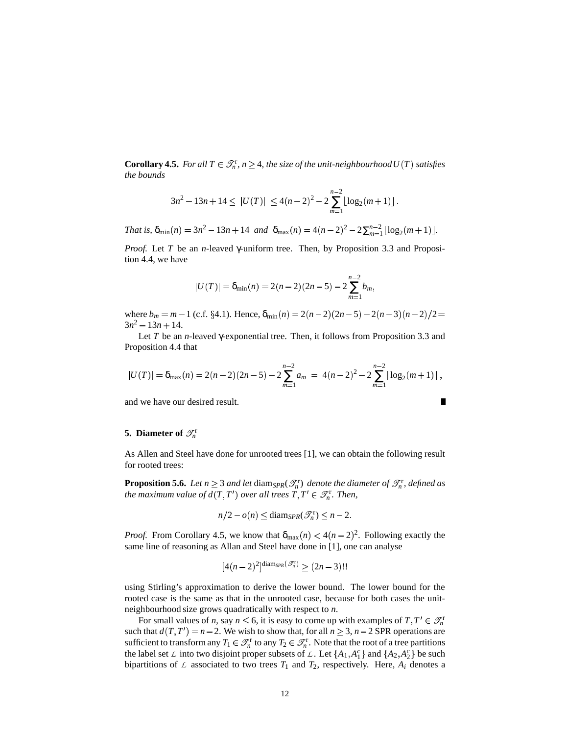**Corollary 4.5.** For all  $T \in \mathcal{T}_n^r$ ,  $n \geq 4$ , the size of the unit-neighbourhood  $U(T)$  satisfies *the bounds*

$$
3n^2 - 13n + 14 \le |U(T)| \le 4(n-2)^2 - 2\sum_{m=1}^{n-2} \lfloor \log_2(m+1) \rfloor.
$$

*That is,*  $\delta_{\min}(n) = 3n^2 - 13n + 14$  *and*  $\delta_{\max}(n) = 4(n-2)^2 - 2\sum_{m=1}^{n-2} \lfloor \log_2(m+1) \rfloor$ .

*Proof.* Let *T* be an *n*-leaved γ-uniform tree. Then, by Proposition 3.3 and Proposition 4.4, we have

$$
|U(T)| = \delta_{\min}(n) = 2(n-2)(2n-5) - 2\sum_{m=1}^{n-2} b_m,
$$

where  $b_m = m - 1$  (c.f.  $\S 4.1$ ). Hence,  $\delta_{\min}(n) = 2(n-2)(2n-5) - 2(n-3)(n-2)/2 =$  $3n^2 - 13n + 14$ .

Let *T* be an *n*-leaved γ-exponential tree. Then, it follows from Proposition 3.3 and Proposition 4.4 that

$$
|U(T)| = \delta_{\max}(n) = 2(n-2)(2n-5) - 2\sum_{m=1}^{n-2} a_m = 4(n-2)^2 - 2\sum_{m=1}^{n-2} \lfloor \log_2(m+1) \rfloor,
$$

 $\blacksquare$ 

and we have our desired result.

# **5. Diameter** of  $\mathscr{T}_n^r$

As Allen and Steel have done for unrooted trees [1], we can obtain the following result for rooted trees:

**Proposition 5.6.** Let  $n \geq 3$  and let  $\text{diam}_{SPR}(\mathcal{I}_n^r)$  denote the diameter of  $\mathcal{I}_n^r$ , defined as *the maximum value of*  $d(T, T')$  *over all trees*  $T, T' \in \mathscr{T}_n^{\text{r}}$ *. Then,* 

$$
n/2 - o(n) \le \text{diam}_{SPR}(\mathcal{T}_n^r) \le n - 2.
$$

*Proof.* From Corollary 4.5, we know that  $\delta_{\text{max}}(n) < 4(n-2)^2$ . Following exactly the same line of reasoning as Allan and Steel have done in [1], one can analyse

$$
[4(n-2)^2]^{\text{diam}_{SPR}(\mathcal{T}_n^r)} \geq (2n-3)!!
$$

using Stirling's approximation to derive the lower bound. The lower bound for the rooted case is the same as that in the unrooted case, because for both cases the unitneighbourhood size grows quadratically with respect to *n*.

For small values of *n*, say  $n \leq 6$ , it is easy to come up with examples of  $T, T' \in \mathcal{T}_n^r$ such that  $d(T, T') = n - 2$ . We wish to show that, for all  $n \ge 3$ ,  $n - 2$  SPR operations are sufficient to transform any  $T_1 \in \mathcal{T}_n^r$  to any  $T_2 \in \mathcal{T}_n^r$ . Note that the root of a tree partitions the label set  $\angle$  into two disjoint proper subsets of  $\angle$ . Let  $\{A_1, A_1^c\}$  and  $\{A_2, A_2^c\}$  be such bipartitions of  $\mathcal L$  associated to two trees  $T_1$  and  $T_2$ , respectively. Here,  $A_i$  denotes a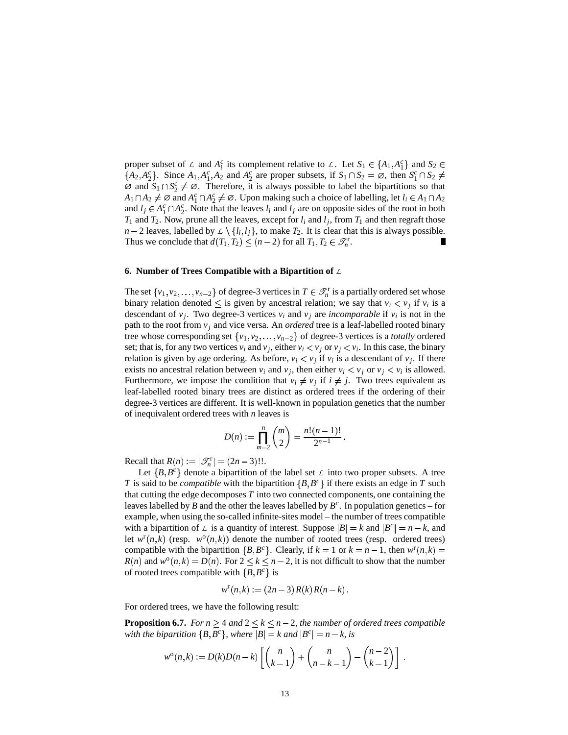proper subset of  $\mathcal{L}$  and  $A_i^c$  its complement relative to  $\mathcal{L}$ . Let  $S_1 \in \{A_1, A_1^c\}$  and  $S_2$  $\{A_2, A_2^c\}$ . Since  $A_1, A_1^c, A_2$  and  $A_2^c$  are proper subsets, if  $S_1 \cap S_2 = \emptyset$ , then  $S_1^c \cap S_2 \neq \emptyset$  $\emptyset$  and  $S_1 \cap S_2^c \neq \emptyset$ . Therefore, it is always possible to label the bipartitions so that  $A_1 \cap A_2 \neq \emptyset$  and  $A_1^c \cap A_2^c \neq \emptyset$ . Upon making such a choice of labelling, let  $l_i \in A_1 \cap A_2$ and  $l_j \in A_1^c \cap A_2^c$ . Note that the leaves  $l_i$  and  $l_j$  are on opposite sides of the root in both  $T_1$  and  $T_2$ . Now, prune all the leaves, except for  $l_i$  and  $l_j$ , from  $T_1$  and then regraft those  $n-2$  leaves, labelled by  $\mathcal{L} \setminus \{l_i, l_j\}$ , to make  $T_2$ . It is clear that this is always possible. Thus we conclude that  $d(T_1, T_2) \le (n-2)$  for all  $T_1, T_2 \in \mathcal{T}_n^r$ . П

#### **6. Number of Trees Compatible with a Bipartition of** *L*

The set  $\{v_1, v_2, \ldots, v_{n-2}\}$  of degree-3 vertices in  $T \in \mathcal{T}_n^r$  is a partially ordered set whose binary relation denoted  $\leq$  is given by ancestral relation; we say that  $v_i < v_j$  if  $v_i$  is a descendant of  $v_j$ . Two degree-3 vertices  $v_i$  and  $v_j$  are *incomparable* if  $v_i$  is not in the path to the root from  $v_i$  and vice versa. An *ordered* tree is a leaf-labelled rooted binary tree whose corresponding set  $\{v_1, v_2, \ldots, v_{n-2}\}$  of degree-3 vertices is a *totally* ordered set; that is, for any two vertices  $v_i$  and  $v_j$ , either  $v_i < v_j$  or  $v_j < v_i$ . In this case, the binary relation is given by age ordering. As before,  $v_i < v_j$  if  $v_i$  is a descendant of  $v_j$ . If there exists no ancestral relation between  $v_i$  and  $v_j$ , then either  $v_i < v_j$  or  $v_j < v_i$  is allowed. Furthermore, we impose the condition that  $v_i \neq v_j$  if  $i \neq j$ . Two trees equivalent as leaf-labelled rooted binary trees are distinct as ordered trees if the ordering of their degree-3 vertices are different. It is well-known in population genetics that the number of inequivalent ordered trees with *n* leaves is

$$
D(n) := \prod_{m=2}^{n} {m \choose 2} = \frac{n!(n-1)!}{2^{n-1}}.
$$

Recall that  $R(n) := |\mathcal{T}_n^r| = (2n - 3)!!$ .

Let  ${B, B<sup>c</sup>}$  denote a bipartition of the label set  $\angle$  into two proper subsets. A tree *T* is said to be *compatible* with the bipartition  ${B, B<sup>c</sup>}$  if there exists an edge in *T* such that cutting the edge decomposes *T* into two connected components, one containing the leaves labelled by *B* and the other the leaves labelled by  $B^c$ . In population genetics – for example, when using the so-called infinite-sites model – the number of trees compatible with a bipartition of  $\mathcal{L}$  is a quantity of interest. Suppose  $|B| = k$  and  $|B^c| = n - k$ , and let  $w^r(n,k)$  (resp.  $w^o(n,k)$ ) denote the number of rooted trees (resp. ordered trees) compatible with the bipartition  ${B, B^c}$ . Clearly, if  $k = 1$  or  $k = n - 1$ , then  $w^r(n, k) =$  $R(n)$  and  $w^{\circ}(n,k) = D(n)$ . For  $2 \le k \le n-2$ , it is not difficult to show that the number of rooted trees compatible with  ${B, B^c}$  is

$$
w^{r}(n,k) := (2n-3) R(k) R(n-k).
$$

For ordered trees, we have the following result:

**Proposition 6.7.** For  $n \geq 4$  and  $2 \leq k \leq n-2$ , the number of ordered trees compatible *with the bipartition*  ${B, B^c}$ , *where*  $|B| = k$  *and*  $|B^c| = n - k$ , *is* 

$$
w^{\circ}(n,k) := D(k)D(n-k)\left[\binom{n}{k-1} + \binom{n}{n-k-1} - \binom{n-2}{k-1}\right].
$$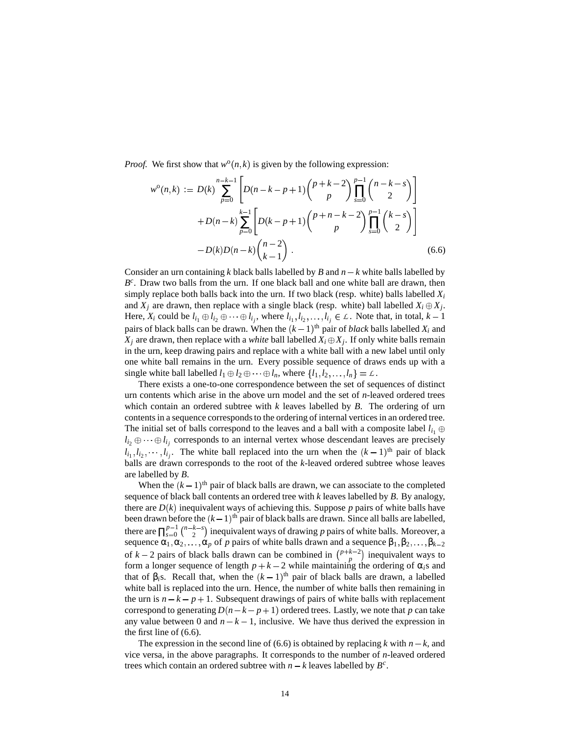*Proof.* We first show that  $w^0(n, k)$  is given by the following expression:

$$
w^{\circ}(n,k) := D(k) \sum_{p=0}^{n-k-1} \left[ D(n-k-p+1) \binom{p+k-2}{p} \prod_{s=0}^{p-1} \binom{n-k-s}{2} \right] + D(n-k) \sum_{p=0}^{k-1} \left[ D(k-p+1) \binom{p+n-k-2}{p} \prod_{s=0}^{p-1} \binom{k-s}{2} \right] -D(k)D(n-k) \binom{n-2}{k-1}.
$$
 (6.6)

Consider an urn containing k black balls labelled by B and  $n - k$  white balls labelled by B<sup>c</sup>. Draw two balls from the urn. If one black ball and one white ball are drawn, then simply replace both balls back into the urn. If two black (resp. white) balls labelled  $X_i$ and  $X_j$  are drawn, then replace with a single black (resp. white) ball labelled  $X_i \oplus X_j$ . Here,  $X_i$  could be  $l_{i_1} \oplus l_{i_2} \oplus \cdots \oplus l_{i_j}$ , where  $l_{i_1}, l_{i_2}, \ldots, l_{i_j} \in \mathcal{L}$ . Note that, in total,  $k-1$ pairs of black balls can be drawn. When the  $(k-1)$ <sup>th</sup> pair of *black* balls labelled  $X_i$  and  $X_j$  are drawn, then replace with a *white* ball labelled  $X_i \oplus X_j$ . If only white balls remain in the urn, keep drawing pairs and replace with a white ball with a new label until only one white ball remains in the urn. Every possible sequence of draws ends up with a single white ball labelled  $l_1 \oplus l_2 \oplus \cdots \oplus l_n$ , where  $\{l_1, l_2, \ldots, l_n\} = \mathcal{L}$ .

There exists a one-to-one correspondence between the set of sequences of distinct urn contents which arise in the above urn model and the set of *n*-leaved ordered trees which contain an ordered subtree with *k* leaves labelled by *B*. The ordering of urn contents in a sequence corresponds to the ordering of internal vertices in an ordered tree. The initial set of balls correspond to the leaves and a ball with a composite label  $l_{i_1} \oplus$  $l_{i_2} \oplus \cdots \oplus l_{i_j}$  corresponds to an internal vertex whose descendant leaves are precisely  $l_{i_1}, l_{i_2}, \dots, l_{i_j}$ . The white ball replaced into the urn when the  $(k-1)$ <sup>th</sup> pair of black balls are drawn corresponds to the root of the *k*-leaved ordered subtree whose leaves are labelled by *B*.

When the  $(k-1)$ <sup>th</sup> pair of black balls are drawn, we can associate to the completed sequence of black ball contents an ordered tree with *k* leaves labelled by *B*. By analogy, there are  $D(k)$  inequivalent ways of achieving this. Suppose p pairs of white balls have been drawn before the  $(k-1)$ <sup>th</sup> pair of black balls are drawn. Since all balls are labelled, there are  $\prod_{s=0}^{p-1}$  $\binom{p-1}{2}$  ( $\binom{n-k-s}{2}$ ) inequivalent ways of drawing *p* pairs of white balls. Moreover, a sequence  $\alpha_1, \alpha_2, \ldots, \alpha_p$  of *p* pairs of white balls drawn and a sequence  $\beta_1, \beta_2, \ldots, \beta_{k-2}$ of  $k-2$  pairs of black balls drawn can be combined in  $\binom{p+k-2}{p}$  inequivalent ways to form a longer sequence of length  $p + k - 2$  while maintaining the ordering of  $\alpha_i$ s and that of  $\beta_i$ s. Recall that, when the  $(k-1)$ <sup>th</sup> pair of black balls are drawn, a labelled white ball is replaced into the urn. Hence, the number of white balls then remaining in the urn is  $n - k - p + 1$ . Subsequent drawings of pairs of white balls with replacement correspond to generating  $D(n-k-p+1)$  ordered trees. Lastly, we note that p can take any value between 0 and  $n - k - 1$ , inclusive. We have thus derived the expression in the first line of (6.6).

The expression in the second line of (6.6) is obtained by replacing *k* with  $n - k$ , and vice versa, in the above paragraphs. It corresponds to the number of *n*-leaved ordered trees which contain an ordered subtree with  $n - k$  leaves labelled by  $B^c$ .